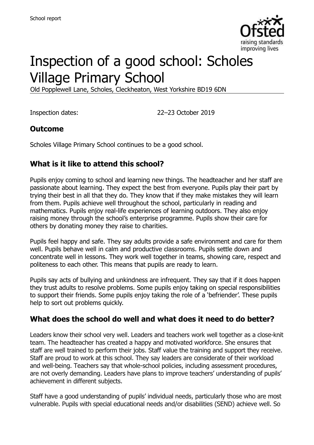

# Inspection of a good school: Scholes Village Primary School

Old Popplewell Lane, Scholes, Cleckheaton, West Yorkshire BD19 6DN

Inspection dates: 22–23 October 2019

#### **Outcome**

Scholes Village Primary School continues to be a good school.

#### **What is it like to attend this school?**

Pupils enjoy coming to school and learning new things. The headteacher and her staff are passionate about learning. They expect the best from everyone. Pupils play their part by trying their best in all that they do. They know that if they make mistakes they will learn from them. Pupils achieve well throughout the school, particularly in reading and mathematics. Pupils enjoy real-life experiences of learning outdoors. They also enjoy raising money through the school's enterprise programme. Pupils show their care for others by donating money they raise to charities.

Pupils feel happy and safe. They say adults provide a safe environment and care for them well. Pupils behave well in calm and productive classrooms. Pupils settle down and concentrate well in lessons. They work well together in teams, showing care, respect and politeness to each other. This means that pupils are ready to learn.

Pupils say acts of bullying and unkindness are infrequent. They say that if it does happen they trust adults to resolve problems. Some pupils enjoy taking on special responsibilities to support their friends. Some pupils enjoy taking the role of a 'befriender'. These pupils help to sort out problems quickly.

#### **What does the school do well and what does it need to do better?**

Leaders know their school very well. Leaders and teachers work well together as a close-knit team. The headteacher has created a happy and motivated workforce. She ensures that staff are well trained to perform their jobs. Staff value the training and support they receive. Staff are proud to work at this school. They say leaders are considerate of their workload and well-being. Teachers say that whole-school policies, including assessment procedures, are not overly demanding. Leaders have plans to improve teachers' understanding of pupils' achievement in different subjects.

Staff have a good understanding of pupils' individual needs, particularly those who are most vulnerable. Pupils with special educational needs and/or disabilities (SEND) achieve well. So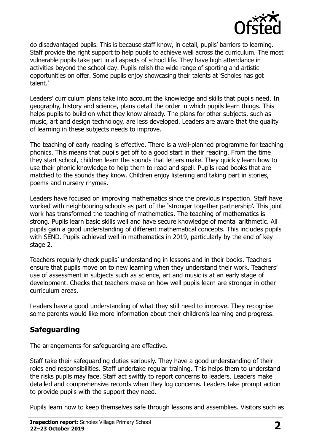

do disadvantaged pupils. This is because staff know, in detail, pupils' barriers to learning. Staff provide the right support to help pupils to achieve well across the curriculum. The most vulnerable pupils take part in all aspects of school life. They have high attendance in activities beyond the school day. Pupils relish the wide range of sporting and artistic opportunities on offer. Some pupils enjoy showcasing their talents at 'Scholes has got talent.'

Leaders' curriculum plans take into account the knowledge and skills that pupils need. In geography, history and science, plans detail the order in which pupils learn things. This helps pupils to build on what they know already. The plans for other subjects, such as music, art and design technology, are less developed. Leaders are aware that the quality of learning in these subjects needs to improve.

The teaching of early reading is effective. There is a well-planned programme for teaching phonics. This means that pupils get off to a good start in their reading. From the time they start school, children learn the sounds that letters make. They quickly learn how to use their phonic knowledge to help them to read and spell. Pupils read books that are matched to the sounds they know. Children enjoy listening and taking part in stories, poems and nursery rhymes.

Leaders have focused on improving mathematics since the previous inspection. Staff have worked with neighbouring schools as part of the 'stronger together partnership'. This joint work has transformed the teaching of mathematics. The teaching of mathematics is strong. Pupils learn basic skills well and have secure knowledge of mental arithmetic. All pupils gain a good understanding of different mathematical concepts. This includes pupils with SEND. Pupils achieved well in mathematics in 2019, particularly by the end of key stage 2.

Teachers regularly check pupils' understanding in lessons and in their books. Teachers ensure that pupils move on to new learning when they understand their work. Teachers' use of assessment in subjects such as science, art and music is at an early stage of development. Checks that teachers make on how well pupils learn are stronger in other curriculum areas.

Leaders have a good understanding of what they still need to improve. They recognise some parents would like more information about their children's learning and progress.

#### **Safeguarding**

The arrangements for safeguarding are effective.

Staff take their safeguarding duties seriously. They have a good understanding of their roles and responsibilities. Staff undertake regular training. This helps them to understand the risks pupils may face. Staff act swiftly to report concerns to leaders. Leaders make detailed and comprehensive records when they log concerns. Leaders take prompt action to provide pupils with the support they need.

Pupils learn how to keep themselves safe through lessons and assemblies. Visitors such as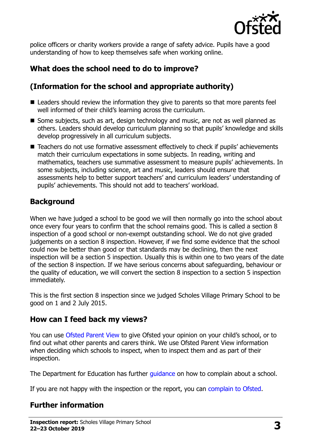

police officers or charity workers provide a range of safety advice. Pupils have a good understanding of how to keep themselves safe when working online.

## **What does the school need to do to improve?**

### **(Information for the school and appropriate authority)**

- Leaders should review the information they give to parents so that more parents feel well informed of their child's learning across the curriculum.
- Some subjects, such as art, design technology and music, are not as well planned as others. Leaders should develop curriculum planning so that pupils' knowledge and skills develop progressively in all curriculum subjects.
- Teachers do not use formative assessment effectively to check if pupils' achievements match their curriculum expectations in some subjects. In reading, writing and mathematics, teachers use summative assessment to measure pupils' achievements. In some subjects, including science, art and music, leaders should ensure that assessments help to better support teachers' and curriculum leaders' understanding of pupils' achievements. This should not add to teachers' workload.

#### **Background**

When we have judged a school to be good we will then normally go into the school about once every four years to confirm that the school remains good. This is called a section 8 inspection of a good school or non-exempt outstanding school. We do not give graded judgements on a section 8 inspection. However, if we find some evidence that the school could now be better than good or that standards may be declining, then the next inspection will be a section 5 inspection. Usually this is within one to two years of the date of the section 8 inspection. If we have serious concerns about safeguarding, behaviour or the quality of education, we will convert the section 8 inspection to a section 5 inspection immediately.

This is the first section 8 inspection since we judged Scholes Village Primary School to be good on 1 and 2 July 2015.

#### **How can I feed back my views?**

You can use [Ofsted Parent View](https://parentview.ofsted.gov.uk/) to give Ofsted your opinion on your child's school, or to find out what other parents and carers think. We use Ofsted Parent View information when deciding which schools to inspect, when to inspect them and as part of their inspection.

The Department for Education has further quidance on how to complain about a school.

If you are not happy with the inspection or the report, you can [complain to Ofsted.](https://www.gov.uk/complain-ofsted-report)

#### **Further information**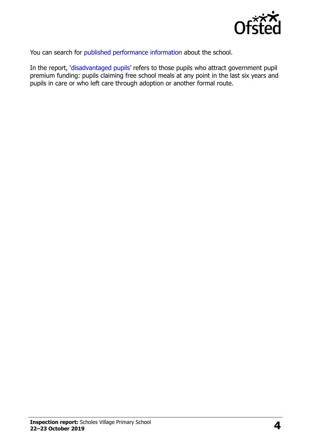

You can search for [published performance information](http://www.compare-school-performance.service.gov.uk/) about the school.

In the report, '[disadvantaged pupils](http://www.gov.uk/guidance/pupil-premium-information-for-schools-and-alternative-provision-settings)' refers to those pupils who attract government pupil premium funding: pupils claiming free school meals at any point in the last six years and pupils in care or who left care through adoption or another formal route.

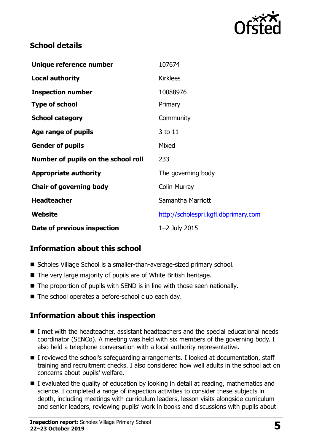

#### **School details**

| Unique reference number             | 107674                               |
|-------------------------------------|--------------------------------------|
| <b>Local authority</b>              | <b>Kirklees</b>                      |
| <b>Inspection number</b>            | 10088976                             |
| <b>Type of school</b>               | Primary                              |
| <b>School category</b>              | Community                            |
| Age range of pupils                 | 3 to 11                              |
| <b>Gender of pupils</b>             | Mixed                                |
| Number of pupils on the school roll | 233                                  |
| <b>Appropriate authority</b>        | The governing body                   |
| <b>Chair of governing body</b>      | <b>Colin Murray</b>                  |
| <b>Headteacher</b>                  | Samantha Marriott                    |
| Website                             | http://scholespri.kgfl.dbprimary.com |
| Date of previous inspection         | 1-2 July 2015                        |

#### **Information about this school**

- Scholes Village School is a smaller-than-average-sized primary school.
- The very large majority of pupils are of White British heritage.
- The proportion of pupils with SEND is in line with those seen nationally.
- The school operates a before-school club each day.

# **Information about this inspection**

- I met with the headteacher, assistant headteachers and the special educational needs coordinator (SENCo). A meeting was held with six members of the governing body. I also held a telephone conversation with a local authority representative.
- I reviewed the school's safeguarding arrangements. I looked at documentation, staff training and recruitment checks. I also considered how well adults in the school act on concerns about pupils' welfare.
- $\blacksquare$  I evaluated the quality of education by looking in detail at reading, mathematics and science. I completed a range of inspection activities to consider these subjects in depth, including meetings with curriculum leaders, lesson visits alongside curriculum and senior leaders, reviewing pupils' work in books and discussions with pupils about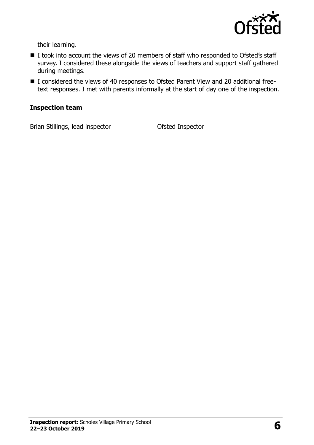

their learning.

- I took into account the views of 20 members of staff who responded to Ofsted's staff survey. I considered these alongside the views of teachers and support staff gathered during meetings.
- I considered the views of 40 responses to Ofsted Parent View and 20 additional freetext responses. I met with parents informally at the start of day one of the inspection.

#### **Inspection team**

Brian Stillings, lead inspector **Ofsted Inspector**